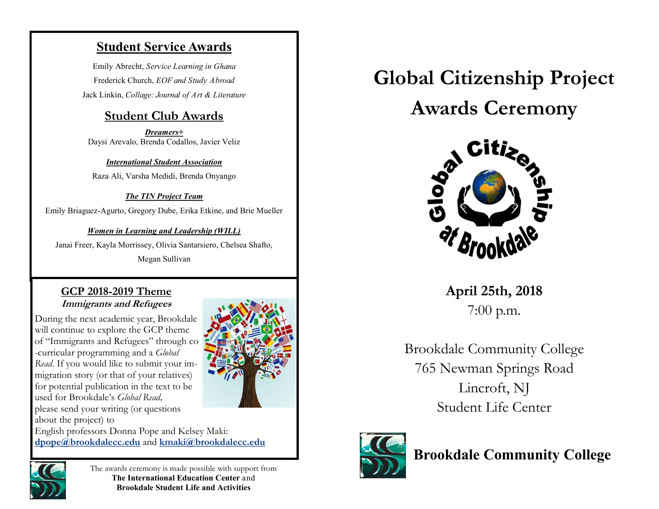## **Student Service Awards**

Emily Abrecht, *Service Learning in Ghana* Frederick Church, *EOF and Study Abroad* Jack Linkin, *Collage: Journal of Art & Literature*

## **Student Club Awards**

*Dreamers+* Daysi Arevalo, Brenda Codallos, Javier Veliz

*International Student Association* Raza Ali, Varsha Medidi, Brenda Onyango

#### *The TIN Project Team*

Emily Briaguez-Agurto, Gregory Dube, Erika Etkine, and Brie Mueller

#### *Women in Learning and Leadership (WILL)*

Janai Freer, Kayla Morrissey, Olivia Santarsiero, Chelsea Shafto,

Megan Sullivan

#### **GCP 2018-2019 Theme Immigrants and Refugees**

During the next academic year, Brookdale will continue to explore the GCP theme of "Immigrants and Refugees" through co -curricular programming and a *Global Read*. If you would like to submit your immigration story (or that of your relatives) for potential publication in the text to be used for Brookdale's *Global Read,*  please send your writing (or questions about the project) to



English professors Donna Pope and Kelsey Maki: **dpope@brookdalecc.edu** and **kmaki@brookdalecc.edu**



The awards ceremony is made possible with support from **The International Education Center** and **Brookdale Student Life and Activities**

**Global Citizenship Project Awards Ceremony**



**April 25th, 2018** 7:00 p.m.

Brookdale Community College 765 Newman Springs Road Lincroft, NJ Student Life Center



**Brookdale Community College**